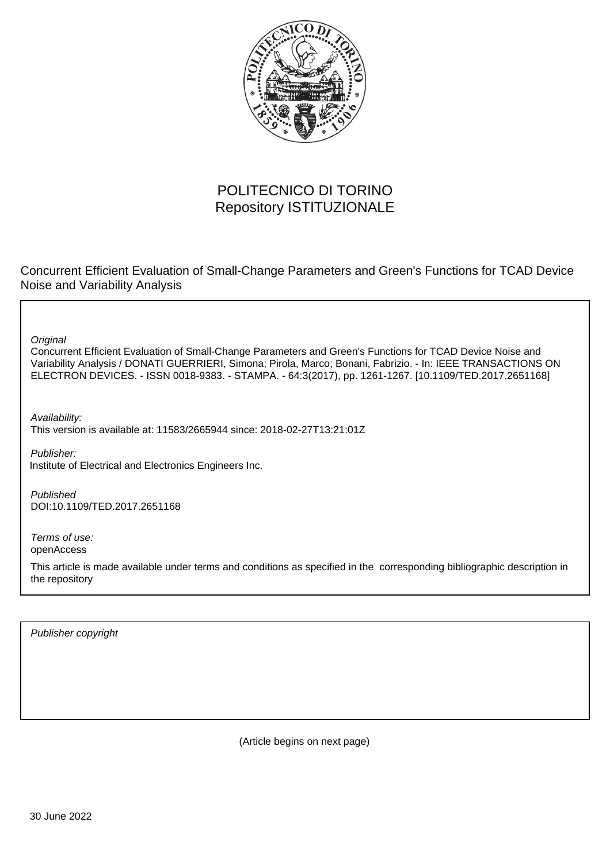

## POLITECNICO DI TORINO Repository ISTITUZIONALE

Concurrent Efficient Evaluation of Small-Change Parameters and Green's Functions for TCAD Device Noise and Variability Analysis

**Original** 

Concurrent Efficient Evaluation of Small-Change Parameters and Green's Functions for TCAD Device Noise and Variability Analysis / DONATI GUERRIERI, Simona; Pirola, Marco; Bonani, Fabrizio. - In: IEEE TRANSACTIONS ON ELECTRON DEVICES. - ISSN 0018-9383. - STAMPA. - 64:3(2017), pp. 1261-1267. [10.1109/TED.2017.2651168]

Availability: This version is available at: 11583/2665944 since: 2018-02-27T13:21:01Z

Publisher: Institute of Electrical and Electronics Engineers Inc.

Published DOI:10.1109/TED.2017.2651168

Terms of use: openAccess

This article is made available under terms and conditions as specified in the corresponding bibliographic description in the repository

Publisher copyright

(Article begins on next page)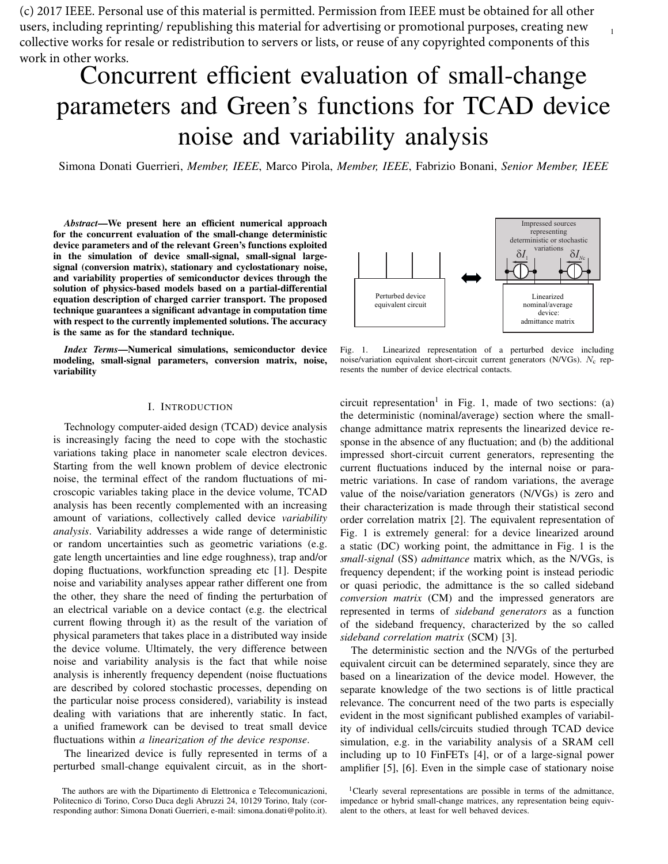(c) 2017 IEEE. Personal use of this material is permitted. Permission from IEEE must be obtained for all other users, including reprinting/ republishing this material for advertising or promotional purposes, creating new collective works for resale or redistribution to servers or lists, or reuse of any copyrighted components of this work in other works.

# Concurrent efficient evaluation of small-change parameters and Green's functions for TCAD device noise and variability analysis

Simona Donati Guerrieri, *Member, IEEE*, Marco Pirola, *Member, IEEE*, Fabrizio Bonani, *Senior Member, IEEE*

*Abstract*—We present here an efficient numerical approach for the concurrent evaluation of the small-change deterministic device parameters and of the relevant Green's functions exploited in the simulation of device small-signal, small-signal largesignal (conversion matrix), stationary and cyclostationary noise, and variability properties of semiconductor devices through the solution of physics-based models based on a partial-differential equation description of charged carrier transport. The proposed technique guarantees a significant advantage in computation time with respect to the currently implemented solutions. The accuracy is the same as for the standard technique.

*Index Terms*—Numerical simulations, semiconductor device modeling, small-signal parameters, conversion matrix, noise, variability

#### I. INTRODUCTION

Technology computer-aided design (TCAD) device analysis is increasingly facing the need to cope with the stochastic variations taking place in nanometer scale electron devices. Starting from the well known problem of device electronic noise, the terminal effect of the random fluctuations of microscopic variables taking place in the device volume, TCAD analysis has been recently complemented with an increasing amount of variations, collectively called device *variability analysis*. Variability addresses a wide range of deterministic or random uncertainties such as geometric variations (e.g. gate length uncertainties and line edge roughness), trap and/or doping fluctuations, workfunction spreading etc [1]. Despite noise and variability analyses appear rather different one from the other, they share the need of finding the perturbation of an electrical variable on a device contact (e.g. the electrical current flowing through it) as the result of the variation of physical parameters that takes place in a distributed way inside the device volume. Ultimately, the very difference between noise and variability analysis is the fact that while noise analysis is inherently frequency dependent (noise fluctuations are described by colored stochastic processes, depending on the particular noise process considered), variability is instead dealing with variations that are inherently static. In fact, a unified framework can be devised to treat small device fluctuations within *a linearization of the device response*.

The linearized device is fully represented in terms of a perturbed small-change equivalent circuit, as in the short-



1

Fig. 1. Linearized representation of a perturbed device including noise/variation equivalent short-circuit current generators (N/VGs).  $N_c$  represents the number of device electrical contacts.

circuit representation<sup>1</sup> in Fig. 1, made of two sections: (a) the deterministic (nominal/average) section where the smallchange admittance matrix represents the linearized device response in the absence of any fluctuation; and (b) the additional impressed short-circuit current generators, representing the current fluctuations induced by the internal noise or parametric variations. In case of random variations, the average value of the noise/variation generators (N/VGs) is zero and their characterization is made through their statistical second order correlation matrix [2]. The equivalent representation of Fig. 1 is extremely general: for a device linearized around a static (DC) working point, the admittance in Fig. 1 is the *small-signal* (SS) *admittance* matrix which, as the N/VGs, is frequency dependent; if the working point is instead periodic or quasi periodic, the admittance is the so called sideband *conversion matrix* (CM) and the impressed generators are represented in terms of *sideband generators* as a function of the sideband frequency, characterized by the so called *sideband correlation matrix* (SCM) [3].

The deterministic section and the N/VGs of the perturbed equivalent circuit can be determined separately, since they are based on a linearization of the device model. However, the separate knowledge of the two sections is of little practical relevance. The concurrent need of the two parts is especially evident in the most significant published examples of variability of individual cells/circuits studied through TCAD device simulation, e.g. in the variability analysis of a SRAM cell including up to 10 FinFETs [4], or of a large-signal power amplifier [5], [6]. Even in the simple case of stationary noise

The authors are with the Dipartimento di Elettronica e Telecomunicazioni, Politecnico di Torino, Corso Duca degli Abruzzi 24, 10129 Torino, Italy (corresponding author: Simona Donati Guerrieri, e-mail: simona.donati@polito.it).

<sup>1</sup>Clearly several representations are possible in terms of the admittance, impedance or hybrid small-change matrices, any representation being equivalent to the others, at least for well behaved devices.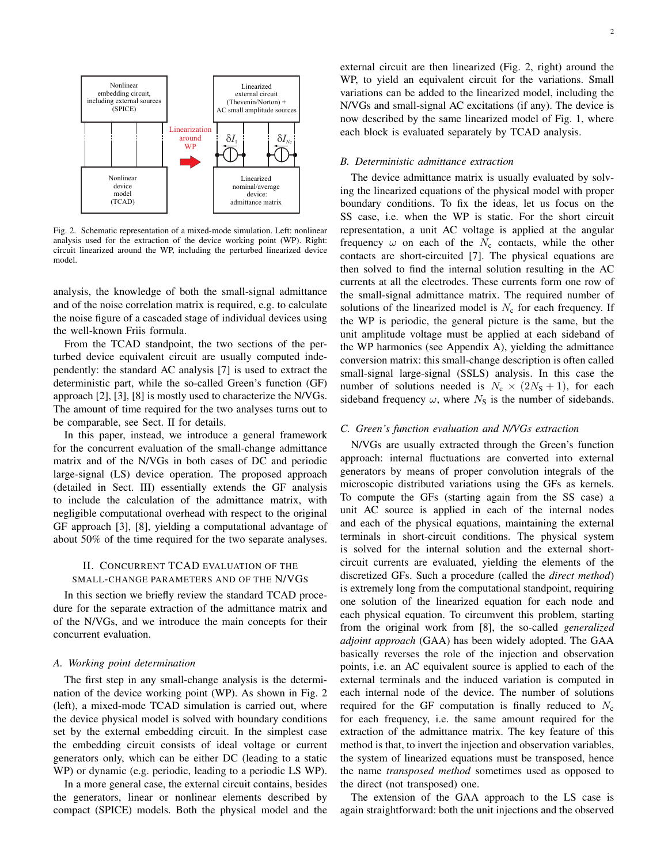

Fig. 2. Schematic representation of a mixed-mode simulation. Left: nonlinear analysis used for the extraction of the device working point (WP). Right: circuit linearized around the WP, including the perturbed linearized device model.

analysis, the knowledge of both the small-signal admittance and of the noise correlation matrix is required, e.g. to calculate the noise figure of a cascaded stage of individual devices using the well-known Friis formula.

From the TCAD standpoint, the two sections of the perturbed device equivalent circuit are usually computed independently: the standard AC analysis [7] is used to extract the deterministic part, while the so-called Green's function (GF) approach [2], [3], [8] is mostly used to characterize the N/VGs. The amount of time required for the two analyses turns out to be comparable, see Sect. II for details.

In this paper, instead, we introduce a general framework for the concurrent evaluation of the small-change admittance matrix and of the N/VGs in both cases of DC and periodic large-signal (LS) device operation. The proposed approach (detailed in Sect. III) essentially extends the GF analysis to include the calculation of the admittance matrix, with negligible computational overhead with respect to the original GF approach [3], [8], yielding a computational advantage of about 50% of the time required for the two separate analyses.

### II. CONCURRENT TCAD EVALUATION OF THE SMALL-CHANGE PARAMETERS AND OF THE N/VGS

In this section we briefly review the standard TCAD procedure for the separate extraction of the admittance matrix and of the N/VGs, and we introduce the main concepts for their concurrent evaluation.

#### *A. Working point determination*

The first step in any small-change analysis is the determination of the device working point (WP). As shown in Fig. 2 (left), a mixed-mode TCAD simulation is carried out, where the device physical model is solved with boundary conditions set by the external embedding circuit. In the simplest case the embedding circuit consists of ideal voltage or current generators only, which can be either DC (leading to a static WP) or dynamic (e.g. periodic, leading to a periodic LS WP).

In a more general case, the external circuit contains, besides the generators, linear or nonlinear elements described by compact (SPICE) models. Both the physical model and the external circuit are then linearized (Fig. 2, right) around the WP, to yield an equivalent circuit for the variations. Small variations can be added to the linearized model, including the N/VGs and small-signal AC excitations (if any). The device is now described by the same linearized model of Fig. 1, where each block is evaluated separately by TCAD analysis.

#### *B. Deterministic admittance extraction*

The device admittance matrix is usually evaluated by solving the linearized equations of the physical model with proper boundary conditions. To fix the ideas, let us focus on the SS case, i.e. when the WP is static. For the short circuit representation, a unit AC voltage is applied at the angular frequency  $\omega$  on each of the  $N_c$  contacts, while the other contacts are short-circuited [7]. The physical equations are then solved to find the internal solution resulting in the AC currents at all the electrodes. These currents form one row of the small-signal admittance matrix. The required number of solutions of the linearized model is  $N_c$  for each frequency. If the WP is periodic, the general picture is the same, but the unit amplitude voltage must be applied at each sideband of the WP harmonics (see Appendix A), yielding the admittance conversion matrix: this small-change description is often called small-signal large-signal (SSLS) analysis. In this case the number of solutions needed is  $N_c \times (2N_s + 1)$ , for each sideband frequency  $\omega$ , where  $N<sub>S</sub>$  is the number of sidebands.

#### *C. Green's function evaluation and N/VGs extraction*

N/VGs are usually extracted through the Green's function approach: internal fluctuations are converted into external generators by means of proper convolution integrals of the microscopic distributed variations using the GFs as kernels. To compute the GFs (starting again from the SS case) a unit AC source is applied in each of the internal nodes and each of the physical equations, maintaining the external terminals in short-circuit conditions. The physical system is solved for the internal solution and the external shortcircuit currents are evaluated, yielding the elements of the discretized GFs. Such a procedure (called the *direct method*) is extremely long from the computational standpoint, requiring one solution of the linearized equation for each node and each physical equation. To circumvent this problem, starting from the original work from [8], the so-called *generalized adjoint approach* (GAA) has been widely adopted. The GAA basically reverses the role of the injection and observation points, i.e. an AC equivalent source is applied to each of the external terminals and the induced variation is computed in each internal node of the device. The number of solutions required for the GF computation is finally reduced to  $N_c$ for each frequency, i.e. the same amount required for the extraction of the admittance matrix. The key feature of this method is that, to invert the injection and observation variables, the system of linearized equations must be transposed, hence the name *transposed method* sometimes used as opposed to the direct (not transposed) one.

The extension of the GAA approach to the LS case is again straightforward: both the unit injections and the observed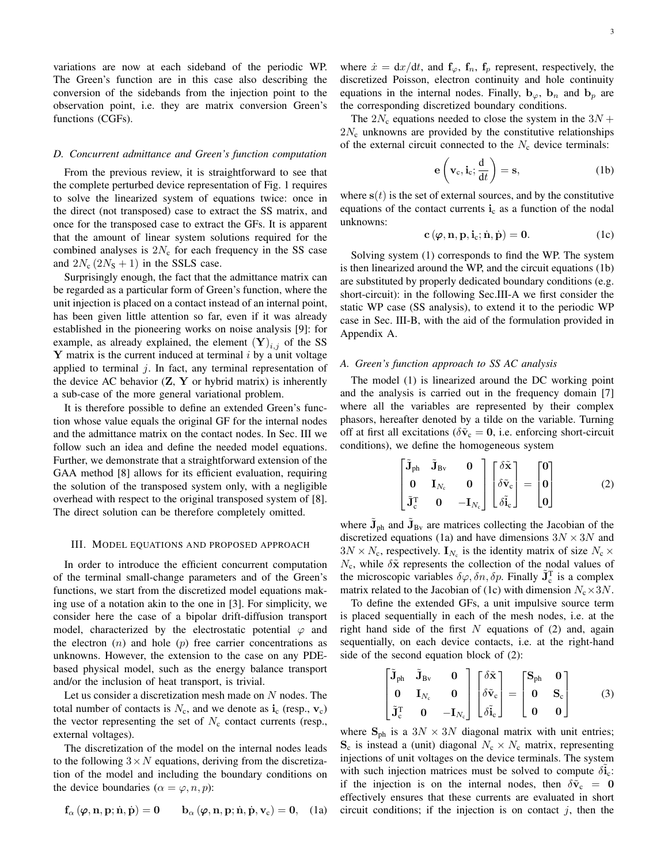variations are now at each sideband of the periodic WP. The Green's function are in this case also describing the conversion of the sidebands from the injection point to the observation point, i.e. they are matrix conversion Green's functions (CGFs).

#### *D. Concurrent admittance and Green's function computation*

From the previous review, it is straightforward to see that the complete perturbed device representation of Fig. 1 requires to solve the linearized system of equations twice: once in the direct (not transposed) case to extract the SS matrix, and once for the transposed case to extract the GFs. It is apparent that the amount of linear system solutions required for the combined analyses is  $2N_c$  for each frequency in the SS case and  $2N_c (2N_s + 1)$  in the SSLS case.

Surprisingly enough, the fact that the admittance matrix can be regarded as a particular form of Green's function, where the unit injection is placed on a contact instead of an internal point, has been given little attention so far, even if it was already established in the pioneering works on noise analysis [9]: for example, as already explained, the element  $(Y)_{i,j}$  of the SS **Y** matrix is the current induced at terminal  $i$  by a unit voltage applied to terminal  $i$ . In fact, any terminal representation of the device AC behavior  $(Z, Y)$  or hybrid matrix) is inherently a sub-case of the more general variational problem.

It is therefore possible to define an extended Green's function whose value equals the original GF for the internal nodes and the admittance matrix on the contact nodes. In Sec. III we follow such an idea and define the needed model equations. Further, we demonstrate that a straightforward extension of the GAA method [8] allows for its efficient evaluation, requiring the solution of the transposed system only, with a negligible overhead with respect to the original transposed system of [8]. The direct solution can be therefore completely omitted.

#### III. MODEL EQUATIONS AND PROPOSED APPROACH

In order to introduce the efficient concurrent computation of the terminal small-change parameters and of the Green's functions, we start from the discretized model equations making use of a notation akin to the one in [3]. For simplicity, we consider here the case of a bipolar drift-diffusion transport model, characterized by the electrostatic potential  $\varphi$  and the electron  $(n)$  and hole  $(p)$  free carrier concentrations as unknowns. However, the extension to the case on any PDEbased physical model, such as the energy balance transport and/or the inclusion of heat transport, is trivial.

Let us consider a discretization mesh made on  $N$  nodes. The total number of contacts is  $N_c$ , and we denote as  $\mathbf{i}_c$  (resp.,  $\mathbf{v}_c$ ) the vector representing the set of  $N_c$  contact currents (resp., external voltages).

The discretization of the model on the internal nodes leads to the following  $3 \times N$  equations, deriving from the discretization of the model and including the boundary conditions on the device boundaries ( $\alpha = \varphi, n, p$ ):

$$
\mathbf{f}_{\alpha}(\boldsymbol{\varphi}, \mathbf{n}, \mathbf{p}; \dot{\mathbf{n}}, \dot{\mathbf{p}}) = \mathbf{0} \qquad \mathbf{b}_{\alpha}(\boldsymbol{\varphi}, \mathbf{n}, \mathbf{p}; \dot{\mathbf{n}}, \dot{\mathbf{p}}, \mathbf{v}_{c}) = \mathbf{0}, \quad (1a)
$$

where  $\dot{x} = dx/dt$ , and  $f_{\varphi}$ ,  $f_n$ ,  $f_p$  represent, respectively, the discretized Poisson, electron continuity and hole continuity equations in the internal nodes. Finally,  $\mathbf{b}_{\varphi}$ ,  $\mathbf{b}_{n}$  and  $\mathbf{b}_{p}$  are the corresponding discretized boundary conditions.

The  $2N_c$  equations needed to close the system in the  $3N +$  $2N_c$  unknowns are provided by the constitutive relationships of the external circuit connected to the  $N_c$  device terminals:

$$
\mathbf{e}\left(\mathbf{v}_{c}, \mathbf{i}_{c}; \frac{\mathbf{d}}{\mathbf{d}t}\right) = \mathbf{s},\tag{1b}
$$

where  $s(t)$  is the set of external sources, and by the constitutive equations of the contact currents  $i_c$  as a function of the nodal unknowns:

$$
\mathbf{c} \left( \boldsymbol{\varphi}, \mathbf{n}, \mathbf{p}, \mathbf{i}_c; \dot{\mathbf{n}}, \dot{\mathbf{p}} \right) = \mathbf{0}.
$$
 (1c)

Solving system (1) corresponds to find the WP. The system is then linearized around the WP, and the circuit equations (1b) are substituted by properly dedicated boundary conditions (e.g. short-circuit): in the following Sec.III-A we first consider the static WP case (SS analysis), to extend it to the periodic WP case in Sec. III-B, with the aid of the formulation provided in Appendix A.

#### *A. Green's function approach to SS AC analysis*

The model (1) is linearized around the DC working point and the analysis is carried out in the frequency domain [7] where all the variables are represented by their complex phasors, hereafter denoted by a tilde on the variable. Turning off at first all excitations ( $\delta \tilde{v}_c = 0$ , i.e. enforcing short-circuit conditions), we define the homogeneous system

$$
\begin{bmatrix} \tilde{\mathbf{J}}_{\text{ph}} & \tilde{\mathbf{J}}_{\text{Bv}} & \mathbf{0} \\ \mathbf{0} & \mathbf{I}_{N_{\text{c}}} & \mathbf{0} \\ \tilde{\mathbf{J}}_{\text{c}}^{\text{T}} & \mathbf{0} & -\mathbf{I}_{N_{\text{c}}} \end{bmatrix} \begin{bmatrix} \delta \tilde{\mathbf{x}} \\ \delta \tilde{\mathbf{v}}_{\text{c}} \\ \delta \tilde{\mathbf{i}}_{\text{c}} \end{bmatrix} = \begin{bmatrix} \mathbf{0} \\ \mathbf{0} \\ \mathbf{0} \end{bmatrix}
$$
(2)

where  $\tilde{\mathbf{J}}_{ph}$  and  $\tilde{\mathbf{J}}_{Bv}$  are matrices collecting the Jacobian of the discretized equations (1a) and have dimensions  $3N \times 3N$  and  $3N \times N_c$ , respectively.  $\mathbf{I}_{N_c}$  is the identity matrix of size  $N_c \times$  $N_c$ , while  $\delta \tilde{\mathbf{x}}$  represents the collection of the nodal values of the microscopic variables  $\delta\varphi, \delta n, \delta p$ . Finally  $\tilde{\mathbf{J}}_c^T$  is a complex matrix related to the Jacobian of (1c) with dimension  $N_c \times 3N$ .

To define the extended GFs, a unit impulsive source term is placed sequentially in each of the mesh nodes, i.e. at the right hand side of the first  $N$  equations of (2) and, again sequentially, on each device contacts, i.e. at the right-hand side of the second equation block of (2):

$$
\begin{bmatrix} \tilde{\mathbf{J}}_{\text{ph}} & \tilde{\mathbf{J}}_{\text{Bv}} & \mathbf{0} \\ \mathbf{0} & \mathbf{I}_{N_{\text{c}}} & \mathbf{0} \\ \tilde{\mathbf{J}}_{\text{c}}^{\text{T}} & \mathbf{0} & -\mathbf{I}_{N_{\text{c}}} \end{bmatrix} \begin{bmatrix} \delta \tilde{\mathbf{x}} \\ \delta \tilde{\mathbf{v}}_{\text{c}} \\ \delta \tilde{\mathbf{I}}_{\text{c}} \end{bmatrix} = \begin{bmatrix} \mathbf{S}_{\text{ph}} & \mathbf{0} \\ \mathbf{0} & \mathbf{S}_{\text{c}} \\ \mathbf{0} & \mathbf{0} \end{bmatrix}
$$
(3)

where  $S_{ph}$  is a  $3N \times 3N$  diagonal matrix with unit entries;  $S_c$  is instead a (unit) diagonal  $N_c \times N_c$  matrix, representing injections of unit voltages on the device terminals. The system with such injection matrices must be solved to compute  $\delta \tilde{i}_c$ : if the injection is on the internal nodes, then  $\delta \tilde{v}_c = 0$ effectively ensures that these currents are evaluated in short circuit conditions; if the injection is on contact  $j$ , then the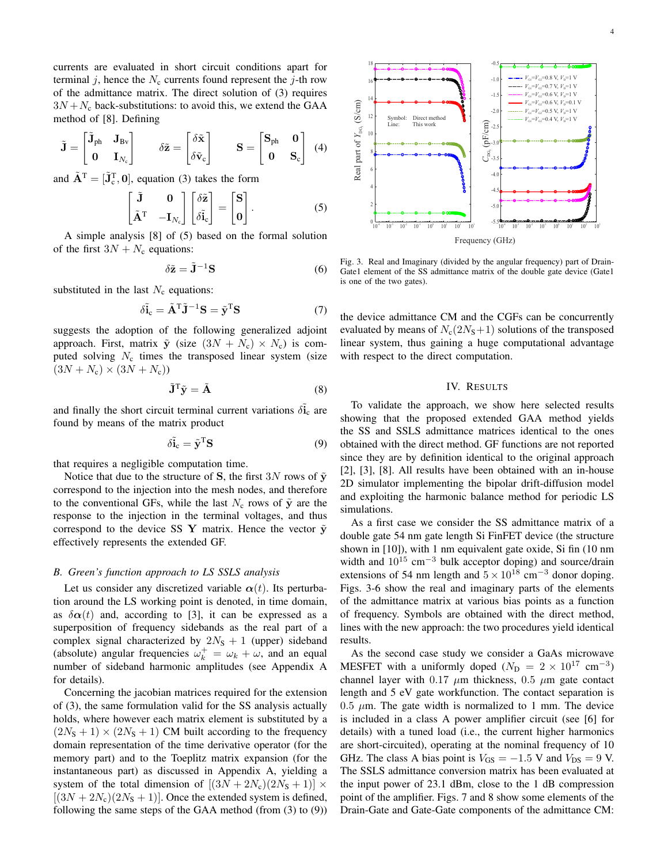currents are evaluated in short circuit conditions apart for terminal j, hence the  $N_c$  currents found represent the j-th row of the admittance matrix. The direct solution of (3) requires  $3N + N_c$  back-substitutions: to avoid this, we extend the GAA method of [8]. Defining

$$
\tilde{\mathbf{J}} = \begin{bmatrix} \tilde{\mathbf{J}}_{ph} & \mathbf{J}_{Bv} \\ \mathbf{0} & \mathbf{I}_{N_c} \end{bmatrix} \qquad \delta \tilde{\mathbf{z}} = \begin{bmatrix} \delta \tilde{\mathbf{x}} \\ \delta \tilde{\mathbf{v}}_c \end{bmatrix} \qquad \mathbf{S} = \begin{bmatrix} \mathbf{S}_{ph} & \mathbf{0} \\ \mathbf{0} & \mathbf{S}_c \end{bmatrix} \tag{4}
$$

and  $\tilde{\mathbf{A}}^{\mathrm{T}} = [\tilde{\mathbf{J}}_c^{\mathrm{T}}, \mathbf{0}]$ , equation (3) takes the form

$$
\begin{bmatrix} \tilde{\mathbf{J}} & \mathbf{0} \\ \tilde{\mathbf{A}}^{\mathrm{T}} & -\mathbf{I}_{N_{\mathrm{c}}} \end{bmatrix} \begin{bmatrix} \delta \tilde{\mathbf{z}} \\ \delta \tilde{\mathbf{i}}_{\mathrm{c}} \end{bmatrix} = \begin{bmatrix} \mathbf{S} \\ \mathbf{0} \end{bmatrix} . \tag{5}
$$

A simple analysis [8] of (5) based on the formal solution of the first  $3N + N_c$  equations:

$$
\delta \tilde{\mathbf{z}} = \tilde{\mathbf{J}}^{-1} \mathbf{S} \tag{6}
$$

substituted in the last  $N_c$  equations:

$$
\delta \tilde{\mathbf{i}}_{c} = \tilde{\mathbf{A}}^{T} \tilde{\mathbf{J}}^{-1} \mathbf{S} = \tilde{\mathbf{y}}^{T} \mathbf{S}
$$
 (7)

suggests the adoption of the following generalized adjoint approach. First, matrix  $\tilde{y}$  (size  $(3N + N_c) \times N_c$ ) is computed solving  $N_c$  times the transposed linear system (size  $(3N + N_c) \times (3N + N_c)$ 

$$
\tilde{\mathbf{J}}^{\mathrm{T}}\tilde{\mathbf{y}} = \tilde{\mathbf{A}} \tag{8}
$$

and finally the short circuit terminal current variations  $\delta \tilde{\mathbf{i}}_c$  are found by means of the matrix product

$$
\delta \tilde{\mathbf{i}}_{c} = \tilde{\mathbf{y}}^{\mathrm{T}} \mathbf{S} \tag{9}
$$

that requires a negligible computation time.

Notice that due to the structure of S, the first 3N rows of  $\tilde{y}$ correspond to the injection into the mesh nodes, and therefore to the conventional GFs, while the last  $N_c$  rows of  $\tilde{y}$  are the response to the injection in the terminal voltages, and thus correspond to the device SS Y matrix. Hence the vector  $\tilde{y}$ effectively represents the extended GF.

#### *B. Green's function approach to LS SSLS analysis*

Let us consider any discretized variable  $\alpha(t)$ . Its perturbation around the LS working point is denoted, in time domain, as  $\delta \alpha(t)$  and, according to [3], it can be expressed as a superposition of frequency sidebands as the real part of a complex signal characterized by  $2N<sub>S</sub> + 1$  (upper) sideband (absolute) angular frequencies  $\omega_k^+ = \omega_k + \omega$ , and an equal number of sideband harmonic amplitudes (see Appendix A for details).

Concerning the jacobian matrices required for the extension of (3), the same formulation valid for the SS analysis actually holds, where however each matrix element is substituted by a  $(2N<sub>S</sub> + 1) \times (2N<sub>S</sub> + 1)$  CM built according to the frequency domain representation of the time derivative operator (for the memory part) and to the Toeplitz matrix expansion (for the instantaneous part) as discussed in Appendix A, yielding a system of the total dimension of  $[(3N+2N_c)(2N_s+1)] \times$  $[(3N+2N_c)(2N_s+1)]$ . Once the extended system is defined, A simple email of the same of the minimism  $\frac{1}{2}e^{-\frac{2\pi}{3}x^2} + \frac{2\pi}{3}e^{-\frac{2\pi}{3}x^2} + \frac{2\pi}{3}e^{-\frac{2\pi}{3}x^2}$ <br>
and simple amalysis [8] of (5) based on the formal solution<br>
since of the from (8) the device admittan



Fig. 3. Real and Imaginary (divided by the angular frequency) part of Drain-Gate1 element of the SS admittance matrix of the double gate device (Gate1 is one of the two gates).

the device admittance CM and the CGFs can be concurrently evaluated by means of  $N_c(2N_s+1)$  solutions of the transposed linear system, thus gaining a huge computational advantage with respect to the direct computation.

#### IV. RESULTS

To validate the approach, we show here selected results showing that the proposed extended GAA method yields the SS and SSLS admittance matrices identical to the ones obtained with the direct method. GF functions are not reported since they are by definition identical to the original approach [2], [3], [8]. All results have been obtained with an in-house 2D simulator implementing the bipolar drift-diffusion model and exploiting the harmonic balance method for periodic LS simulations.

As a first case we consider the SS admittance matrix of a double gate 54 nm gate length Si FinFET device (the structure shown in [10]), with 1 nm equivalent gate oxide, Si fin (10 nm width and  $10^{15}$  cm<sup>-3</sup> bulk acceptor doping) and source/drain extensions of 54 nm length and  $5 \times 10^{18}$  cm<sup>-3</sup> donor doping. Figs. 3-6 show the real and imaginary parts of the elements of the admittance matrix at various bias points as a function of frequency. Symbols are obtained with the direct method, lines with the new approach: the two procedures yield identical results.

As the second case study we consider a GaAs microwave MESFET with a uniformly doped ( $N_{\rm D} = 2 \times 10^{17}$  cm<sup>-3</sup>) channel layer with 0.17  $\mu$ m thickness, 0.5  $\mu$ m gate contact length and 5 eV gate workfunction. The contact separation is  $0.5 \mu$ m. The gate width is normalized to 1 mm. The device is included in a class A power amplifier circuit (see [6] for details) with a tuned load (i.e., the current higher harmonics are short-circuited), operating at the nominal frequency of 10 GHz. The class A bias point is  $V_{GS} = -1.5$  V and  $V_{DS} = 9$  V. The SSLS admittance conversion matrix has been evaluated at the input power of 23.1 dBm, close to the 1 dB compression point of the amplifier. Figs. 7 and 8 show some elements of the Drain-Gate and Gate-Gate components of the admittance CM: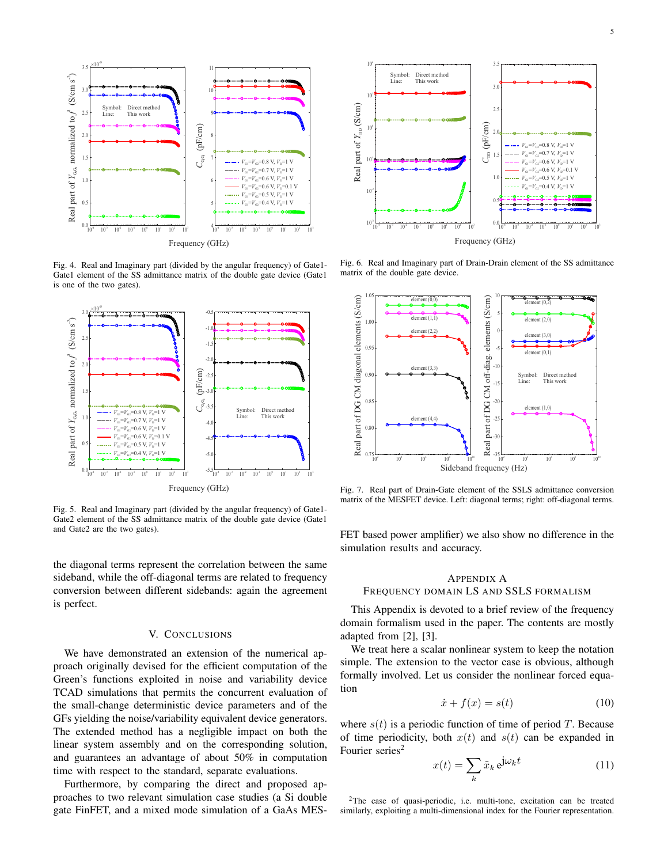

Fig. 4. Real and Imaginary part (divided by the angular frequency) of Gate1- Gate1 element of the SS admittance matrix of the double gate device (Gate1 is one of the two gates).



Fig. 5. Real and Imaginary part (divided by the angular frequency) of Gate1- Gate2 element of the SS admittance matrix of the double gate device (Gate1 and Gate2 are the two gates).

the diagonal terms represent the correlation between the same sideband, while the off-diagonal terms are related to frequency conversion between different sidebands: again the agreement is perfect.

#### V. CONCLUSIONS

We have demonstrated an extension of the numerical approach originally devised for the efficient computation of the Green's functions exploited in noise and variability device TCAD simulations that permits the concurrent evaluation of the small-change deterministic device parameters and of the GFs yielding the noise/variability equivalent device generators. The extended method has a negligible impact on both the linear system assembly and on the corresponding solution, and guarantees an advantage of about 50% in computation time with respect to the standard, separate evaluations.

Furthermore, by comparing the direct and proposed approaches to two relevant simulation case studies (a Si double gate FinFET, and a mixed mode simulation of a GaAs MES-



Fig. 6. Real and Imaginary part of Drain-Drain element of the SS admittance matrix of the double gate device.



Fig. 7. Real part of Drain-Gate element of the SSLS admittance conversion matrix of the MESFET device. Left: diagonal terms; right: off-diagonal terms.

FET based power amplifier) we also show no difference in the simulation results and accuracy.

#### APPENDIX A FREQUENCY DOMAIN LS AND SSLS FORMALISM

This Appendix is devoted to a brief review of the frequency domain formalism used in the paper. The contents are mostly adapted from [2], [3].

We treat here a scalar nonlinear system to keep the notation simple. The extension to the vector case is obvious, although formally involved. Let us consider the nonlinear forced equation

$$
\dot{x} + f(x) = s(t) \tag{10}
$$

where  $s(t)$  is a periodic function of time of period T. Because of time periodicity, both  $x(t)$  and  $s(t)$  can be expanded in Fourier series<sup>2</sup>

$$
x(t) = \sum_{k} \tilde{x}_k e^{j\omega_k t}
$$
 (11)

<sup>2</sup>The case of quasi-periodic, i.e. multi-tone, excitation can be treated similarly, exploiting a multi-dimensional index for the Fourier representation.